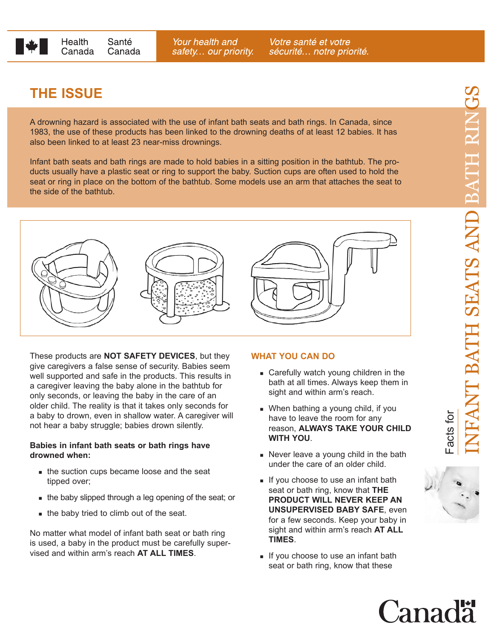

Your health and safety... our priority.

Votre santé et votre sécurité... notre priorité.

## **THE ISSUE**

A drowning hazard is associated with the use of infant bath seats and bath rings. In Canada, since 1983, the use of these products has been linked to the drowning deaths of at least 12 babies. It has also been linked to at least 23 near-miss drownings.

Infant bath seats and bath rings are made to hold babies in a sitting position in the bathtub. The products usually have a plastic seat or ring to support the baby. Suction cups are often used to hold the seat or ring in place on the bottom of the bathtub. Some models use an arm that attaches the seat to the side of the bathtub.



These products are **NOT SAFETY DEVICES**, but they give caregivers a false sense of security. Babies seem well supported and safe in the products. This results in a caregiver leaving the baby alone in the bathtub for only seconds, or leaving the baby in the care of an older child. The reality is that it takes only seconds for a baby to drown, even in shallow water. A caregiver will not hear a baby struggle; babies drown silently.

## **Babies in infant bath seats or bath rings have drowned when:**

- the suction cups became loose and the seat tipped over;
- the baby slipped through a leg opening of the seat; or
- the baby tried to climb out of the seat.

No matter what model of infant bath seat or bath ring is used, a baby in the product must be carefully supervised and within arm's reach **AT ALL TIMES**.

## **WHAT YOU CAN DO**

- **Carefully watch young children in the** bath at all times. Always keep them in sight and within arm's reach.
- When bathing a young child, if you have to leave the room for any reason, **ALWAYS TAKE YOUR CHILD WITH YOU**.
- Never leave a young child in the bath under the care of an older child.
- If you choose to use an infant bath seat or bath ring, know that **THE PRODUCT WILL NEVER KEEP AN UNSUPERVISED BABY SAFE**, even for a few seconds. Keep your baby in sight and within arm's reach **AT ALL TIMES**.
- If you choose to use an infant bath seat or bath ring, know that these



Canadä

Facts for

acts for